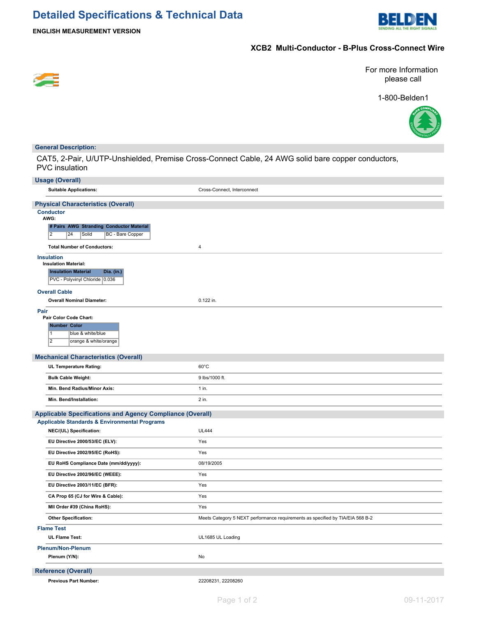

**ENGLISH MEASUREMENT VERSION**

## **XCB2 Multi-Conductor - B-Plus Cross-Connect Wire**



For more Information please call

1-800-Belden1



### **General Description:**

CAT5, 2-Pair, U/UTP-Unshielded, Premise Cross-Connect Cable, 24 AWG solid bare copper conductors, PVC insulation

| <b>Usage (Overall)</b>                                           |                                                                                |
|------------------------------------------------------------------|--------------------------------------------------------------------------------|
| <b>Suitable Applications:</b>                                    | Cross-Connect, Interconnect                                                    |
| <b>Physical Characteristics (Overall)</b>                        |                                                                                |
| <b>Conductor</b><br>AWG:                                         |                                                                                |
| # Pairs AWG Stranding Conductor Material                         |                                                                                |
| $\overline{2}$<br>Solid<br>BC - Bare Copper<br>24                |                                                                                |
| <b>Total Number of Conductors:</b>                               | 4                                                                              |
| <b>Insulation</b><br><b>Insulation Material:</b>                 |                                                                                |
| <b>Insulation Material</b><br>Dia. (in.)                         |                                                                                |
| PVC - Polyvinyl Chloride 0.036                                   |                                                                                |
| <b>Overall Cable</b>                                             |                                                                                |
| <b>Overall Nominal Diameter:</b>                                 | 0.122 in.                                                                      |
| Pair                                                             |                                                                                |
| Pair Color Code Chart:<br><b>Number Color</b>                    |                                                                                |
| 11<br>blue & white/blue                                          |                                                                                |
| $\overline{2}$<br>orange & white/orange                          |                                                                                |
|                                                                  |                                                                                |
| <b>Mechanical Characteristics (Overall)</b>                      | $60^{\circ}$ C                                                                 |
| UL Temperature Rating:                                           |                                                                                |
| <b>Bulk Cable Weight:</b>                                        | 9 lbs/1000 ft.                                                                 |
| Min. Bend Radius/Minor Axis:                                     | 1 in.                                                                          |
| Min. Bend/Installation:                                          | 2 in.                                                                          |
| <b>Applicable Specifications and Agency Compliance (Overall)</b> |                                                                                |
| <b>Applicable Standards &amp; Environmental Programs</b>         |                                                                                |
| NEC/(UL) Specification:                                          | <b>UL444</b>                                                                   |
| EU Directive 2000/53/EC (ELV):                                   | Yes                                                                            |
| EU Directive 2002/95/EC (RoHS):                                  | Yes                                                                            |
| EU RoHS Compliance Date (mm/dd/yyyy):                            | 08/19/2005                                                                     |
| EU Directive 2002/96/EC (WEEE):                                  | Yes                                                                            |
| EU Directive 2003/11/EC (BFR):                                   | Yes                                                                            |
| CA Prop 65 (CJ for Wire & Cable):                                | Yes                                                                            |
| MII Order #39 (China RoHS):                                      | Yes                                                                            |
| <b>Other Specification:</b>                                      | Meets Category 5 NEXT performance requirements as specified by TIA/EIA 568 B-2 |
| <b>Flame Test</b>                                                |                                                                                |
| UL Flame Test:                                                   | UL1685 UL Loading                                                              |
| <b>Plenum/Non-Plenum</b>                                         |                                                                                |
| Plenum (Y/N):                                                    | No                                                                             |
| <b>Reference (Overall)</b>                                       |                                                                                |
| <b>Previous Part Number:</b>                                     | 22208231, 22208260                                                             |